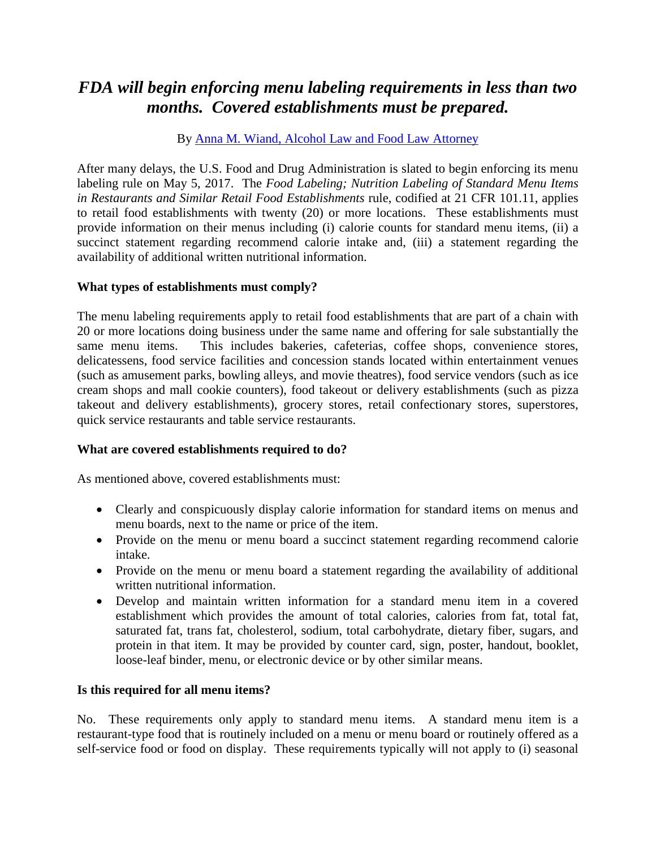# *FDA will begin enforcing menu labeling requirements in less than two months. Covered establishments must be prepared.*

By [Anna M. Wiand, Alcohol Law and Food Law Attorney](http://www.gray-robinson.com/attorneys-professionals/anna-m-wiand)

After many delays, the U.S. Food and Drug Administration is slated to begin enforcing its menu labeling rule on May 5, 2017. The *Food Labeling; Nutrition Labeling of Standard Menu Items in Restaurants and Similar Retail Food Establishments* rule, codified at 21 CFR 101.11, applies to retail food establishments with twenty (20) or more locations. These establishments must provide information on their menus including (i) calorie counts for standard menu items, (ii) a succinct statement regarding recommend calorie intake and, (iii) a statement regarding the availability of additional written nutritional information.

# **What types of establishments must comply?**

The menu labeling requirements apply to retail food establishments that are part of a chain with 20 or more locations doing business under the same name and offering for sale substantially the same menu items. This includes bakeries, cafeterias, coffee shops, convenience stores, delicatessens, food service facilities and concession stands located within entertainment venues (such as amusement parks, bowling alleys, and movie theatres), food service vendors (such as ice cream shops and mall cookie counters), food takeout or delivery establishments (such as pizza takeout and delivery establishments), grocery stores, retail confectionary stores, superstores, quick service restaurants and table service restaurants.

# **What are covered establishments required to do?**

As mentioned above, covered establishments must:

- Clearly and conspicuously display calorie information for standard items on menus and menu boards, next to the name or price of the item.
- Provide on the menu or menu board a succinct statement regarding recommend calorie intake.
- Provide on the menu or menu board a statement regarding the availability of additional written nutritional information.
- Develop and maintain written information for a standard menu item in a covered establishment which provides the amount of total calories, calories from fat, total fat, saturated fat, trans fat, cholesterol, sodium, total carbohydrate, dietary fiber, sugars, and protein in that item. It may be provided by counter card, sign, poster, handout, booklet, loose-leaf binder, menu, or electronic device or by other similar means.

# **Is this required for all menu items?**

No. These requirements only apply to standard menu items. A standard menu item is a restaurant-type food that is routinely included on a menu or menu board or routinely offered as a self-service food or food on display. These requirements typically will not apply to (i) seasonal